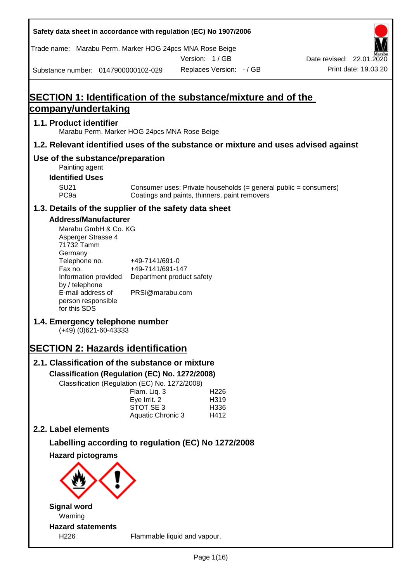| Safety data sheet in accordance with regulation (EC) No 1907/2006                                                                                                                                                                                                                                                                                                                                                                                                                                    |                                                                                                                                 |                                               |                                  |                                                                  |
|------------------------------------------------------------------------------------------------------------------------------------------------------------------------------------------------------------------------------------------------------------------------------------------------------------------------------------------------------------------------------------------------------------------------------------------------------------------------------------------------------|---------------------------------------------------------------------------------------------------------------------------------|-----------------------------------------------|----------------------------------|------------------------------------------------------------------|
| Trade name: Marabu Perm. Marker HOG 24pcs MNA Rose Beige                                                                                                                                                                                                                                                                                                                                                                                                                                             |                                                                                                                                 |                                               |                                  |                                                                  |
|                                                                                                                                                                                                                                                                                                                                                                                                                                                                                                      |                                                                                                                                 | Version: 1/GB                                 |                                  | Date revised: 22.01.2020                                         |
| Substance number: 0147900000102-029                                                                                                                                                                                                                                                                                                                                                                                                                                                                  |                                                                                                                                 | Replaces Version: - / GB                      |                                  | Print date: 19.03.20                                             |
| <b>SECTION 1: Identification of the substance/mixture and of the</b>                                                                                                                                                                                                                                                                                                                                                                                                                                 |                                                                                                                                 |                                               |                                  |                                                                  |
| company/undertaking                                                                                                                                                                                                                                                                                                                                                                                                                                                                                  |                                                                                                                                 |                                               |                                  |                                                                  |
| 1.1. Product identifier<br>Marabu Perm. Marker HOG 24pcs MNA Rose Beige                                                                                                                                                                                                                                                                                                                                                                                                                              |                                                                                                                                 |                                               |                                  |                                                                  |
| 1.2. Relevant identified uses of the substance or mixture and uses advised against                                                                                                                                                                                                                                                                                                                                                                                                                   |                                                                                                                                 |                                               |                                  |                                                                  |
| Use of the substance/preparation<br>Painting agent                                                                                                                                                                                                                                                                                                                                                                                                                                                   |                                                                                                                                 |                                               |                                  |                                                                  |
| <b>Identified Uses</b>                                                                                                                                                                                                                                                                                                                                                                                                                                                                               |                                                                                                                                 |                                               |                                  |                                                                  |
| <b>SU21</b><br>PC <sub>9a</sub>                                                                                                                                                                                                                                                                                                                                                                                                                                                                      |                                                                                                                                 | Coatings and paints, thinners, paint removers |                                  | Consumer uses: Private households (= general public = consumers) |
| 1.3. Details of the supplier of the safety data sheet                                                                                                                                                                                                                                                                                                                                                                                                                                                |                                                                                                                                 |                                               |                                  |                                                                  |
| <b>Address/Manufacturer</b><br>Marabu GmbH & Co. KG<br>Asperger Strasse 4<br>71732 Tamm<br>Germany<br>Telephone no.<br>Fax no.<br>Information provided<br>by / telephone<br>E-mail address of<br>person responsible<br>for this SDS<br>1.4. Emergency telephone number<br>$(+49)$ (0)621-60-43333<br><b>SECTION 2: Hazards identification</b><br>2.1. Classification of the substance or mixture<br>Classification (Regulation (EC) No. 1272/2008)<br>Classification (Regulation (EC) No. 1272/2008) | +49-7141/691-0<br>+49-7141/691-147<br>Department product safety<br>PRSI@marabu.com<br>Flam. Liq. 3<br>Eye Irrit. 2<br>STOT SE 3 |                                               | H <sub>226</sub><br>H319<br>H336 |                                                                  |
|                                                                                                                                                                                                                                                                                                                                                                                                                                                                                                      | Aquatic Chronic 3                                                                                                               |                                               | H412                             |                                                                  |
| 2.2. Label elements                                                                                                                                                                                                                                                                                                                                                                                                                                                                                  |                                                                                                                                 |                                               |                                  |                                                                  |
| Labelling according to regulation (EC) No 1272/2008                                                                                                                                                                                                                                                                                                                                                                                                                                                  |                                                                                                                                 |                                               |                                  |                                                                  |
| <b>Hazard pictograms</b>                                                                                                                                                                                                                                                                                                                                                                                                                                                                             |                                                                                                                                 |                                               |                                  |                                                                  |
| <b>Signal word</b>                                                                                                                                                                                                                                                                                                                                                                                                                                                                                   |                                                                                                                                 |                                               |                                  |                                                                  |
| Warning                                                                                                                                                                                                                                                                                                                                                                                                                                                                                              |                                                                                                                                 |                                               |                                  |                                                                  |
| <b>Hazard statements</b><br>H226                                                                                                                                                                                                                                                                                                                                                                                                                                                                     |                                                                                                                                 | Flammable liquid and vapour.                  |                                  |                                                                  |
|                                                                                                                                                                                                                                                                                                                                                                                                                                                                                                      |                                                                                                                                 |                                               |                                  |                                                                  |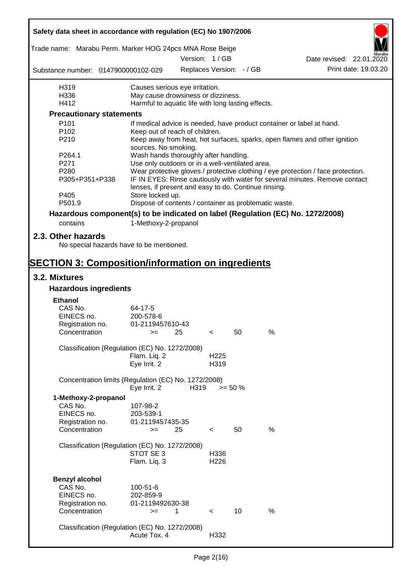| Safety data sheet in accordance with regulation (EC) No 1907/2006               |                                                       |      |                          |                 |      |                                                                                  |  |  |
|---------------------------------------------------------------------------------|-------------------------------------------------------|------|--------------------------|-----------------|------|----------------------------------------------------------------------------------|--|--|
| Trade name: Marabu Perm. Marker HOG 24pcs MNA Rose Beige                        |                                                       |      |                          |                 |      |                                                                                  |  |  |
|                                                                                 |                                                       |      | Version: 1 / GB          |                 |      | Date revised: 22.01.2020                                                         |  |  |
| Substance number: 0147900000102-029                                             |                                                       |      | Replaces Version: - / GB |                 |      | Print date: 19.03.20                                                             |  |  |
| H319                                                                            | Causes serious eye irritation.                        |      |                          |                 |      |                                                                                  |  |  |
| H336                                                                            | May cause drowsiness or dizziness.                    |      |                          |                 |      |                                                                                  |  |  |
| H412                                                                            | Harmful to aquatic life with long lasting effects.    |      |                          |                 |      |                                                                                  |  |  |
| <b>Precautionary statements</b>                                                 |                                                       |      |                          |                 |      |                                                                                  |  |  |
| P <sub>101</sub>                                                                |                                                       |      |                          |                 |      | If medical advice is needed, have product container or label at hand.            |  |  |
| P <sub>102</sub>                                                                | Keep out of reach of children.                        |      |                          |                 |      |                                                                                  |  |  |
| P210                                                                            | sources. No smoking.                                  |      |                          |                 |      | Keep away from heat, hot surfaces, sparks, open flames and other ignition        |  |  |
| P264.1                                                                          | Wash hands thoroughly after handling.                 |      |                          |                 |      |                                                                                  |  |  |
| P271                                                                            | Use only outdoors or in a well-ventilated area.       |      |                          |                 |      |                                                                                  |  |  |
| P280                                                                            |                                                       |      |                          |                 |      | Wear protective gloves / protective clothing / eye protection / face protection. |  |  |
| P305+P351+P338                                                                  | lenses, if present and easy to do. Continue rinsing.  |      |                          |                 |      | IF IN EYES: Rinse cautiously with water for several minutes. Remove contact      |  |  |
| P405                                                                            | Store locked up.                                      |      |                          |                 |      |                                                                                  |  |  |
| P501.9                                                                          | Dispose of contents / container as problematic waste. |      |                          |                 |      |                                                                                  |  |  |
| Hazardous component(s) to be indicated on label (Regulation (EC) No. 1272/2008) |                                                       |      |                          |                 |      |                                                                                  |  |  |
| contains                                                                        | 1-Methoxy-2-propanol                                  |      |                          |                 |      |                                                                                  |  |  |
| 2.3. Other hazards<br>No special hazards have to be mentioned.                  |                                                       |      |                          |                 |      |                                                                                  |  |  |
|                                                                                 |                                                       |      |                          |                 |      |                                                                                  |  |  |
| <b>SECTION 3: Composition/information on ingredients</b><br>3.2. Mixtures       |                                                       |      |                          |                 |      |                                                                                  |  |  |
| <b>Hazardous ingredients</b>                                                    |                                                       |      |                          |                 |      |                                                                                  |  |  |
|                                                                                 |                                                       |      |                          |                 |      |                                                                                  |  |  |
| <b>Ethanol</b><br>CAS No.                                                       | 64-17-5                                               |      |                          |                 |      |                                                                                  |  |  |
| EINECS no.                                                                      | 200-578-6                                             |      |                          |                 |      |                                                                                  |  |  |
| Registration no.                                                                | 01-2119457610-43                                      |      |                          |                 |      |                                                                                  |  |  |
| Concentration                                                                   | $>=$ 25                                               |      | $\epsilon$               | 50              | %    |                                                                                  |  |  |
| Classification (Regulation (EC) No. 1272/2008)                                  |                                                       |      |                          |                 |      |                                                                                  |  |  |
|                                                                                 | Flam. Liq. 2                                          |      | H <sub>225</sub>         |                 |      |                                                                                  |  |  |
|                                                                                 | Eye Irrit. 2                                          |      | H319                     |                 |      |                                                                                  |  |  |
| Concentration limits (Regulation (EC) No. 1272/2008)                            |                                                       |      |                          |                 |      |                                                                                  |  |  |
|                                                                                 | Eye Irrit. 2                                          | H319 |                          | $>= 50 \%$      |      |                                                                                  |  |  |
| 1-Methoxy-2-propanol                                                            |                                                       |      |                          |                 |      |                                                                                  |  |  |
| CAS No.                                                                         | 107-98-2                                              |      |                          |                 |      |                                                                                  |  |  |
| EINECS no.                                                                      | 203-539-1<br>01-2119457435-35                         |      |                          |                 |      |                                                                                  |  |  |
| Registration no.<br>Concentration                                               | $>=$                                                  | 25   | $\,<\,$                  | 50              | $\%$ |                                                                                  |  |  |
|                                                                                 |                                                       |      |                          |                 |      |                                                                                  |  |  |
| Classification (Regulation (EC) No. 1272/2008)                                  |                                                       |      |                          |                 |      |                                                                                  |  |  |
|                                                                                 | STOT SE 3                                             |      | H336                     |                 |      |                                                                                  |  |  |
|                                                                                 | Flam. Liq. 3                                          |      | H226                     |                 |      |                                                                                  |  |  |
|                                                                                 |                                                       |      |                          |                 |      |                                                                                  |  |  |
| <b>Benzyl alcohol</b><br>CAS No.                                                |                                                       |      |                          |                 |      |                                                                                  |  |  |
| EINECS no.                                                                      | 100-51-6<br>202-859-9                                 |      |                          |                 |      |                                                                                  |  |  |
| Registration no.                                                                | 01-2119492630-38                                      |      |                          |                 |      |                                                                                  |  |  |
| Concentration                                                                   | $>=$                                                  | 1    | $\prec$                  | 10 <sup>1</sup> | %    |                                                                                  |  |  |
|                                                                                 |                                                       |      |                          |                 |      |                                                                                  |  |  |
| Classification (Regulation (EC) No. 1272/2008)                                  |                                                       |      |                          |                 |      |                                                                                  |  |  |
|                                                                                 | Acute Tox. 4                                          |      | H332                     |                 |      |                                                                                  |  |  |
|                                                                                 |                                                       |      |                          |                 |      |                                                                                  |  |  |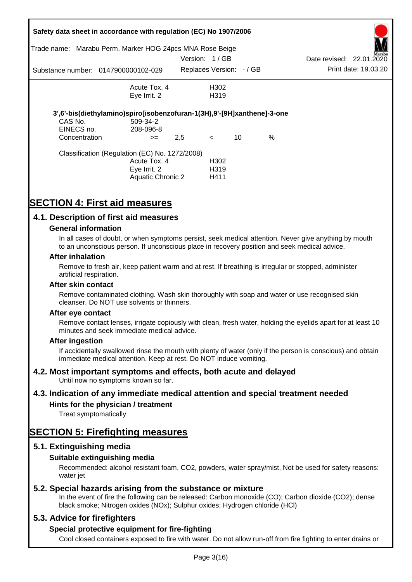| Trade name:                            | Safety data sheet in accordance with regulation (EC) No 1907/2006<br>Marabu Perm. Marker HOG 24pcs MNA Rose Beige |                          |                                               |      |                          |                      |
|----------------------------------------|-------------------------------------------------------------------------------------------------------------------|--------------------------|-----------------------------------------------|------|--------------------------|----------------------|
|                                        |                                                                                                                   | Version: 1/GB            |                                               |      | Date revised: 22.01.2020 | Marabu               |
|                                        | Substance number: 0147900000102-029                                                                               | Replaces Version: - / GB |                                               |      |                          | Print date: 19.03.20 |
|                                        | Acute Tox. 4<br>Eye Irrit. 2                                                                                      |                          | H302<br>H <sub>3</sub> 19                     |      |                          |                      |
| CAS No.<br>EINECS no.<br>Concentration | 3',6'-bis(diethylamino)spiro[isobenzofuran-1(3H),9'-[9H]xanthene]-3-one<br>509-34-2<br>208-096-8<br>$>=$          | 2,5                      | 10<br>$\lt$                                   | $\%$ |                          |                      |
|                                        | Classification (Regulation (EC) No. 1272/2008)<br>Acute Tox. 4<br>Eye Irrit. 2<br>Aquatic Chronic 2               |                          | H <sub>302</sub><br>H <sub>3</sub> 19<br>H411 |      |                          |                      |

# **SECTION 4: First aid measures**

# **4.1. Description of first aid measures**

### **General information**

In all cases of doubt, or when symptoms persist, seek medical attention. Never give anything by mouth to an unconscious person. If unconscious place in recovery position and seek medical advice.

#### **After inhalation**

Remove to fresh air, keep patient warm and at rest. If breathing is irregular or stopped, administer artificial respiration.

#### **After skin contact**

Remove contaminated clothing. Wash skin thoroughly with soap and water or use recognised skin cleanser. Do NOT use solvents or thinners.

#### **After eye contact**

Remove contact lenses, irrigate copiously with clean, fresh water, holding the eyelids apart for at least 10 minutes and seek immediate medical advice.

#### **After ingestion**

If accidentally swallowed rinse the mouth with plenty of water (only if the person is conscious) and obtain immediate medical attention. Keep at rest. Do NOT induce vomiting.

## **4.2. Most important symptoms and effects, both acute and delayed**

Until now no symptoms known so far.

## **4.3. Indication of any immediate medical attention and special treatment needed**

## **Hints for the physician / treatment**

Treat symptomatically

# **SECTION 5: Firefighting measures**

## **5.1. Extinguishing media**

## **Suitable extinguishing media**

Recommended: alcohol resistant foam, CO2, powders, water spray/mist, Not be used for safety reasons: water *iet* 

## **5.2. Special hazards arising from the substance or mixture**

In the event of fire the following can be released: Carbon monoxide (CO); Carbon dioxide (CO2); dense black smoke; Nitrogen oxides (NOx); Sulphur oxides; Hydrogen chloride (HCl)

## **5.3. Advice for firefighters**

## **Special protective equipment for fire-fighting**

Cool closed containers exposed to fire with water. Do not allow run-off from fire fighting to enter drains or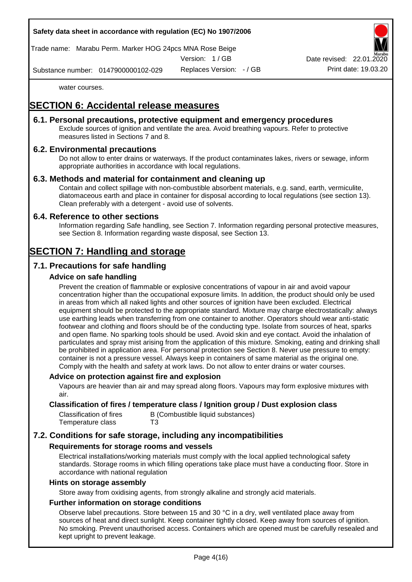

Trade name: Marabu Perm. Marker HOG 24pcs MNA Rose Beige

Version: 1 / GB

Replaces Version: - / GB Print date: 19.03.20 Date revised: 22.01.

Substance number: 0147900000102-029

water courses.

# **SECTION 6: Accidental release measures**

## **6.1. Personal precautions, protective equipment and emergency procedures**

Exclude sources of ignition and ventilate the area. Avoid breathing vapours. Refer to protective measures listed in Sections 7 and 8.

# **6.2. Environmental precautions**

Do not allow to enter drains or waterways. If the product contaminates lakes, rivers or sewage, inform appropriate authorities in accordance with local regulations.

# **6.3. Methods and material for containment and cleaning up**

Contain and collect spillage with non-combustible absorbent materials, e.g. sand, earth, vermiculite, diatomaceous earth and place in container for disposal according to local regulations (see section 13). Clean preferably with a detergent - avoid use of solvents.

## **6.4. Reference to other sections**

Information regarding Safe handling, see Section 7. Information regarding personal protective measures, see Section 8. Information regarding waste disposal, see Section 13.

# **SECTION 7: Handling and storage**

# **7.1. Precautions for safe handling**

# **Advice on safe handling**

Prevent the creation of flammable or explosive concentrations of vapour in air and avoid vapour concentration higher than the occupational exposure limits. In addition, the product should only be used in areas from which all naked lights and other sources of ignition have been excluded. Electrical equipment should be protected to the appropriate standard. Mixture may charge electrostatically: always use earthing leads when transferring from one container to another. Operators should wear anti-static footwear and clothing and floors should be of the conducting type. Isolate from sources of heat, sparks and open flame. No sparking tools should be used. Avoid skin and eye contact. Avoid the inhalation of particulates and spray mist arising from the application of this mixture. Smoking, eating and drinking shall be prohibited in application area. For personal protection see Section 8. Never use pressure to empty: container is not a pressure vessel. Always keep in containers of same material as the original one. Comply with the health and safety at work laws. Do not allow to enter drains or water courses.

## **Advice on protection against fire and explosion**

Vapours are heavier than air and may spread along floors. Vapours may form explosive mixtures with air.

### **Classification of fires / temperature class / Ignition group / Dust explosion class**

| Classification of fires | B (Combustible liquid substances) |
|-------------------------|-----------------------------------|
| Temperature class       | T3                                |

# **7.2. Conditions for safe storage, including any incompatibilities**

## **Requirements for storage rooms and vessels**

Electrical installations/working materials must comply with the local applied technological safety standards. Storage rooms in which filling operations take place must have a conducting floor. Store in accordance with national regulation

#### **Hints on storage assembly**

Store away from oxidising agents, from strongly alkaline and strongly acid materials.

## **Further information on storage conditions**

Observe label precautions. Store between 15 and 30 °C in a dry, well ventilated place away from sources of heat and direct sunlight. Keep container tightly closed. Keep away from sources of ignition. No smoking. Prevent unauthorised access. Containers which are opened must be carefully resealed and kept upright to prevent leakage.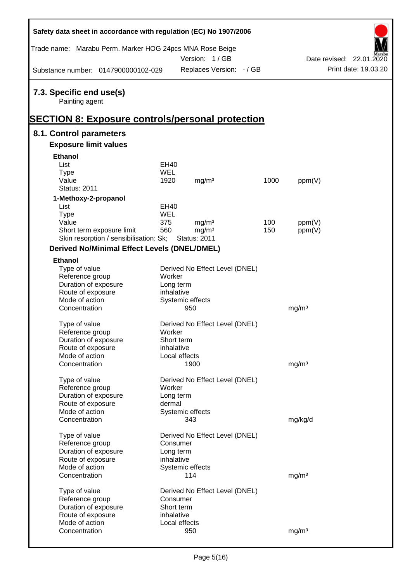| Safety data sheet in accordance with regulation (EC) No 1907/2006                                     |                         |                                          |      |                   |  |                          |  |  |
|-------------------------------------------------------------------------------------------------------|-------------------------|------------------------------------------|------|-------------------|--|--------------------------|--|--|
| Trade name: Marabu Perm. Marker HOG 24pcs MNA Rose Beige                                              |                         | Version: 1/GB                            |      |                   |  | Date revised: 22.01.2020 |  |  |
| Substance number: 0147900000102-029                                                                   |                         | Replaces Version: - / GB                 |      |                   |  | Print date: 19.03.20     |  |  |
| 7.3. Specific end use(s)<br>Painting agent<br><b>SECTION 8: Exposure controls/personal protection</b> |                         |                                          |      |                   |  |                          |  |  |
| 8.1. Control parameters                                                                               |                         |                                          |      |                   |  |                          |  |  |
| <b>Exposure limit values</b>                                                                          |                         |                                          |      |                   |  |                          |  |  |
| <b>Ethanol</b>                                                                                        |                         |                                          |      |                   |  |                          |  |  |
| List                                                                                                  | <b>EH40</b>             |                                          |      |                   |  |                          |  |  |
| <b>Type</b>                                                                                           | <b>WEL</b>              |                                          |      |                   |  |                          |  |  |
| Value                                                                                                 | 1920                    | mg/m <sup>3</sup>                        | 1000 | ppm(V)            |  |                          |  |  |
| <b>Status: 2011</b>                                                                                   |                         |                                          |      |                   |  |                          |  |  |
| 1-Methoxy-2-propanol                                                                                  |                         |                                          |      |                   |  |                          |  |  |
| List                                                                                                  | EH40                    |                                          |      |                   |  |                          |  |  |
| <b>Type</b>                                                                                           | WEL                     |                                          |      |                   |  |                          |  |  |
| Value                                                                                                 | 375                     | mg/m <sup>3</sup>                        | 100  | ppm(V)            |  |                          |  |  |
| Short term exposure limit<br>Skin resorption / sensibilisation: Sk;                                   | 560                     | mg/m <sup>3</sup><br><b>Status: 2011</b> | 150  | ppm(V)            |  |                          |  |  |
|                                                                                                       |                         |                                          |      |                   |  |                          |  |  |
| <b>Derived No/Minimal Effect Levels (DNEL/DMEL)</b>                                                   |                         |                                          |      |                   |  |                          |  |  |
| <b>Ethanol</b>                                                                                        |                         |                                          |      |                   |  |                          |  |  |
| Type of value                                                                                         |                         | Derived No Effect Level (DNEL)           |      |                   |  |                          |  |  |
| Reference group                                                                                       | Worker                  |                                          |      |                   |  |                          |  |  |
| Duration of exposure<br>Route of exposure                                                             | Long term<br>inhalative |                                          |      |                   |  |                          |  |  |
| Mode of action                                                                                        |                         | Systemic effects                         |      |                   |  |                          |  |  |
| Concentration                                                                                         |                         | 950                                      |      | mg/m <sup>3</sup> |  |                          |  |  |
|                                                                                                       |                         |                                          |      |                   |  |                          |  |  |
| Type of value                                                                                         |                         | Derived No Effect Level (DNEL)           |      |                   |  |                          |  |  |
| Reference group                                                                                       | Worker                  |                                          |      |                   |  |                          |  |  |
| Duration of exposure                                                                                  | Short term              |                                          |      |                   |  |                          |  |  |
| Route of exposure                                                                                     | inhalative              |                                          |      |                   |  |                          |  |  |
| Mode of action                                                                                        |                         | Local effects                            |      |                   |  |                          |  |  |
| Concentration                                                                                         |                         | 1900                                     |      | mg/m <sup>3</sup> |  |                          |  |  |
| Type of value                                                                                         |                         | Derived No Effect Level (DNEL)           |      |                   |  |                          |  |  |
| Reference group                                                                                       | Worker                  |                                          |      |                   |  |                          |  |  |
| Duration of exposure                                                                                  | Long term               |                                          |      |                   |  |                          |  |  |
| Route of exposure                                                                                     | dermal                  |                                          |      |                   |  |                          |  |  |
| Mode of action                                                                                        |                         | Systemic effects                         |      |                   |  |                          |  |  |
| Concentration                                                                                         |                         | 343                                      |      | mg/kg/d           |  |                          |  |  |
|                                                                                                       |                         |                                          |      |                   |  |                          |  |  |
| Type of value                                                                                         |                         | Derived No Effect Level (DNEL)           |      |                   |  |                          |  |  |
| Reference group                                                                                       | Consumer                |                                          |      |                   |  |                          |  |  |
| Duration of exposure                                                                                  | Long term               |                                          |      |                   |  |                          |  |  |
| Route of exposure                                                                                     | inhalative              |                                          |      |                   |  |                          |  |  |
| Mode of action<br>Concentration                                                                       |                         | Systemic effects<br>114                  |      | mg/m <sup>3</sup> |  |                          |  |  |
|                                                                                                       |                         |                                          |      |                   |  |                          |  |  |
| Type of value                                                                                         |                         | Derived No Effect Level (DNEL)           |      |                   |  |                          |  |  |
| Reference group                                                                                       | Consumer                |                                          |      |                   |  |                          |  |  |
| Duration of exposure                                                                                  | Short term              |                                          |      |                   |  |                          |  |  |
| Route of exposure                                                                                     | inhalative              |                                          |      |                   |  |                          |  |  |
| Mode of action                                                                                        |                         | Local effects                            |      |                   |  |                          |  |  |
| Concentration                                                                                         |                         | 950                                      |      | mg/m <sup>3</sup> |  |                          |  |  |

Ī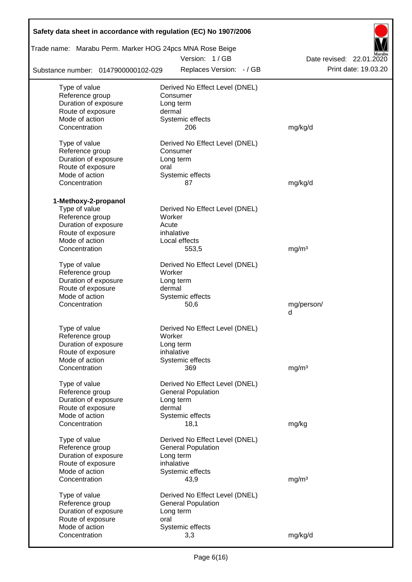| Trade name: Marabu Perm. Marker HOG 24pcs MNA Rose Beige |                                           |                                                  |  |  |  |  |  |  |  |
|----------------------------------------------------------|-------------------------------------------|--------------------------------------------------|--|--|--|--|--|--|--|
| Substance number: 0147900000102-029                      | Version: 1/GB<br>Replaces Version: - / GB | Date revised: 22.01.2020<br>Print date: 19.03.20 |  |  |  |  |  |  |  |
|                                                          |                                           |                                                  |  |  |  |  |  |  |  |
| Type of value                                            | Derived No Effect Level (DNEL)            |                                                  |  |  |  |  |  |  |  |
| Reference group<br>Duration of exposure                  | Consumer<br>Long term                     |                                                  |  |  |  |  |  |  |  |
| Route of exposure                                        | dermal                                    |                                                  |  |  |  |  |  |  |  |
| Mode of action                                           | Systemic effects                          |                                                  |  |  |  |  |  |  |  |
| Concentration                                            | 206                                       | mg/kg/d                                          |  |  |  |  |  |  |  |
| Type of value                                            | Derived No Effect Level (DNEL)            |                                                  |  |  |  |  |  |  |  |
| Reference group                                          | Consumer                                  |                                                  |  |  |  |  |  |  |  |
| Duration of exposure                                     | Long term                                 |                                                  |  |  |  |  |  |  |  |
| Route of exposure                                        | oral                                      |                                                  |  |  |  |  |  |  |  |
| Mode of action                                           | Systemic effects                          |                                                  |  |  |  |  |  |  |  |
| Concentration                                            | 87                                        | mg/kg/d                                          |  |  |  |  |  |  |  |
| 1-Methoxy-2-propanol                                     |                                           |                                                  |  |  |  |  |  |  |  |
| Type of value                                            | Derived No Effect Level (DNEL)            |                                                  |  |  |  |  |  |  |  |
| Reference group                                          | Worker                                    |                                                  |  |  |  |  |  |  |  |
| Duration of exposure                                     | Acute                                     |                                                  |  |  |  |  |  |  |  |
| Route of exposure<br>Mode of action                      | inhalative                                |                                                  |  |  |  |  |  |  |  |
| Concentration                                            | Local effects                             |                                                  |  |  |  |  |  |  |  |
|                                                          | 553,5                                     | mg/m <sup>3</sup>                                |  |  |  |  |  |  |  |
| Type of value                                            | Derived No Effect Level (DNEL)            |                                                  |  |  |  |  |  |  |  |
| Reference group                                          | Worker                                    |                                                  |  |  |  |  |  |  |  |
| Duration of exposure                                     | Long term                                 |                                                  |  |  |  |  |  |  |  |
| Route of exposure                                        | dermal                                    |                                                  |  |  |  |  |  |  |  |
| Mode of action                                           | Systemic effects                          |                                                  |  |  |  |  |  |  |  |
| Concentration                                            | 50,6                                      | mg/person/<br>d                                  |  |  |  |  |  |  |  |
|                                                          |                                           |                                                  |  |  |  |  |  |  |  |
| Type of value                                            | Derived No Effect Level (DNEL)            |                                                  |  |  |  |  |  |  |  |
| Reference group                                          | Worker                                    |                                                  |  |  |  |  |  |  |  |
| Duration of exposure                                     | Long term                                 |                                                  |  |  |  |  |  |  |  |
| Route of exposure                                        | inhalative                                |                                                  |  |  |  |  |  |  |  |
| Mode of action<br>Concentration                          | Systemic effects<br>369                   | mg/m <sup>3</sup>                                |  |  |  |  |  |  |  |
|                                                          |                                           |                                                  |  |  |  |  |  |  |  |
| Type of value                                            | Derived No Effect Level (DNEL)            |                                                  |  |  |  |  |  |  |  |
| Reference group                                          | <b>General Population</b>                 |                                                  |  |  |  |  |  |  |  |
| Duration of exposure                                     | Long term                                 |                                                  |  |  |  |  |  |  |  |
| Route of exposure                                        | dermal                                    |                                                  |  |  |  |  |  |  |  |
| Mode of action                                           | Systemic effects                          |                                                  |  |  |  |  |  |  |  |
| Concentration                                            | 18,1                                      | mg/kg                                            |  |  |  |  |  |  |  |
| Type of value                                            | Derived No Effect Level (DNEL)            |                                                  |  |  |  |  |  |  |  |
| Reference group                                          | <b>General Population</b>                 |                                                  |  |  |  |  |  |  |  |
| Duration of exposure                                     | Long term                                 |                                                  |  |  |  |  |  |  |  |
| Route of exposure                                        | inhalative                                |                                                  |  |  |  |  |  |  |  |
| Mode of action                                           | Systemic effects                          |                                                  |  |  |  |  |  |  |  |
| Concentration                                            | 43,9                                      | mg/m <sup>3</sup>                                |  |  |  |  |  |  |  |
| Type of value                                            | Derived No Effect Level (DNEL)            |                                                  |  |  |  |  |  |  |  |
| Reference group                                          | <b>General Population</b>                 |                                                  |  |  |  |  |  |  |  |
| Duration of exposure                                     | Long term                                 |                                                  |  |  |  |  |  |  |  |
| Route of exposure                                        | oral                                      |                                                  |  |  |  |  |  |  |  |
| Mode of action                                           | Systemic effects                          |                                                  |  |  |  |  |  |  |  |
| Concentration                                            | 3,3                                       | mg/kg/d                                          |  |  |  |  |  |  |  |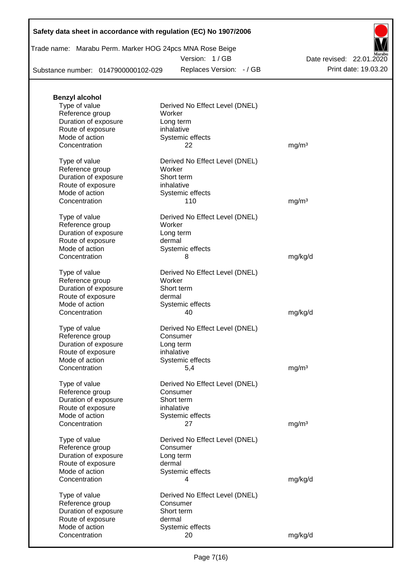# **Safety data sheet in accordance with regulation (EC) No 1907/2006**

Trade name: Marabu Perm. Marker HOG 24pcs MNA Rose Beige

Version: 1 / GB

Substance number: 0147900000102-029

Replaces Version: - / GB Print date: 19.03.20 Date revised: 22.01.2020

| <b>Benzyl alcohol</b> |                                |                   |
|-----------------------|--------------------------------|-------------------|
| Type of value         | Derived No Effect Level (DNEL) |                   |
| Reference group       | Worker                         |                   |
| Duration of exposure  | Long term                      |                   |
| Route of exposure     | inhalative                     |                   |
| Mode of action        | Systemic effects               |                   |
| Concentration         | 22                             | mg/m <sup>3</sup> |
|                       |                                |                   |
| Type of value         | Derived No Effect Level (DNEL) |                   |
| Reference group       | Worker                         |                   |
| Duration of exposure  | Short term                     |                   |
| Route of exposure     | inhalative                     |                   |
| Mode of action        | Systemic effects               |                   |
| Concentration         | 110                            | mg/m <sup>3</sup> |
|                       |                                |                   |
| Type of value         | Derived No Effect Level (DNEL) |                   |
| Reference group       | Worker                         |                   |
| Duration of exposure  | Long term                      |                   |
| Route of exposure     | dermal                         |                   |
| Mode of action        | Systemic effects               |                   |
| Concentration         | 8                              | mg/kg/d           |
|                       |                                |                   |
| Type of value         | Derived No Effect Level (DNEL) |                   |
| Reference group       | Worker                         |                   |
| Duration of exposure  | Short term                     |                   |
| Route of exposure     | dermal                         |                   |
| Mode of action        | Systemic effects               |                   |
| Concentration         | 40                             | mg/kg/d           |
|                       |                                |                   |
| Type of value         | Derived No Effect Level (DNEL) |                   |
| Reference group       | Consumer                       |                   |
| Duration of exposure  | Long term                      |                   |
| Route of exposure     | inhalative                     |                   |
| Mode of action        | Systemic effects               |                   |
|                       |                                |                   |
| Concentration         | 5,4                            | mg/m <sup>3</sup> |
| Type of value         | Derived No Effect Level (DNEL) |                   |
| Reference group       | Consumer                       |                   |
| Duration of exposure  | Short term                     |                   |
|                       | inhalative                     |                   |
| Route of exposure     |                                |                   |
| Mode of action        | Systemic effects               |                   |
| Concentration         | 27                             | mg/m <sup>3</sup> |
| Type of value         | Derived No Effect Level (DNEL) |                   |
| Reference group       | Consumer                       |                   |
| Duration of exposure  | Long term                      |                   |
|                       |                                |                   |
| Route of exposure     | dermal                         |                   |
| Mode of action        | Systemic effects               |                   |
| Concentration         | 4                              | mg/kg/d           |
|                       |                                |                   |
| Type of value         | Derived No Effect Level (DNEL) |                   |
| Reference group       | Consumer                       |                   |
| Duration of exposure  | Short term                     |                   |
| Route of exposure     | dermal                         |                   |
| Mode of action        | Systemic effects               |                   |
| Concentration         | 20                             | mg/kg/d           |
|                       |                                |                   |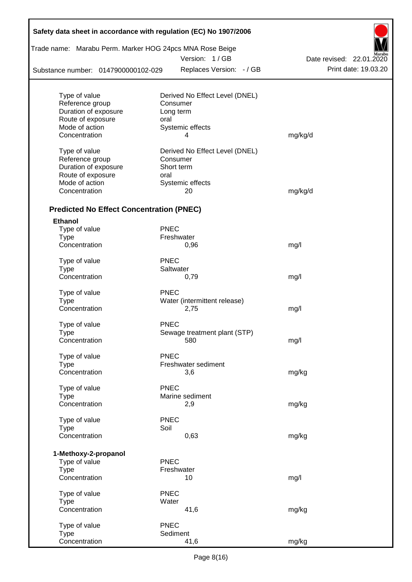| Trade name: Marabu Perm. Marker HOG 24pcs MNA Rose Beige |             |                                |                          |  |  |  |  |  |  |
|----------------------------------------------------------|-------------|--------------------------------|--------------------------|--|--|--|--|--|--|
|                                                          |             | Version: 1/GB                  | Date revised: 22.01.2020 |  |  |  |  |  |  |
| Substance number: 0147900000102-029                      |             | Replaces Version: - / GB       | Print date: 19.03.20     |  |  |  |  |  |  |
|                                                          |             |                                |                          |  |  |  |  |  |  |
| Type of value                                            |             | Derived No Effect Level (DNEL) |                          |  |  |  |  |  |  |
| Reference group                                          |             | Consumer                       |                          |  |  |  |  |  |  |
| Duration of exposure                                     |             | Long term                      |                          |  |  |  |  |  |  |
| Route of exposure<br>Mode of action                      | oral        |                                |                          |  |  |  |  |  |  |
| Concentration                                            |             | Systemic effects<br>4          | mg/kg/d                  |  |  |  |  |  |  |
|                                                          |             |                                |                          |  |  |  |  |  |  |
| Type of value                                            |             | Derived No Effect Level (DNEL) |                          |  |  |  |  |  |  |
| Reference group                                          |             | Consumer                       |                          |  |  |  |  |  |  |
| Duration of exposure                                     |             | Short term                     |                          |  |  |  |  |  |  |
| Route of exposure                                        | oral        |                                |                          |  |  |  |  |  |  |
| Mode of action                                           |             | Systemic effects               |                          |  |  |  |  |  |  |
| Concentration                                            |             | 20                             | mg/kg/d                  |  |  |  |  |  |  |
| <b>Predicted No Effect Concentration (PNEC)</b>          |             |                                |                          |  |  |  |  |  |  |
| <b>Ethanol</b>                                           |             |                                |                          |  |  |  |  |  |  |
| Type of value                                            | <b>PNEC</b> |                                |                          |  |  |  |  |  |  |
| <b>Type</b>                                              |             | Freshwater                     |                          |  |  |  |  |  |  |
| Concentration                                            |             | 0,96                           | mg/l                     |  |  |  |  |  |  |
| Type of value                                            | <b>PNEC</b> |                                |                          |  |  |  |  |  |  |
| <b>Type</b>                                              |             | Saltwater                      |                          |  |  |  |  |  |  |
| Concentration                                            |             | 0,79                           | mg/l                     |  |  |  |  |  |  |
| Type of value                                            | <b>PNEC</b> |                                |                          |  |  |  |  |  |  |
| <b>Type</b>                                              |             | Water (intermittent release)   |                          |  |  |  |  |  |  |
| Concentration                                            |             | 2,75                           | mg/l                     |  |  |  |  |  |  |
| Type of value                                            | <b>PNEC</b> |                                |                          |  |  |  |  |  |  |
| Type                                                     |             | Sewage treatment plant (STP)   |                          |  |  |  |  |  |  |
| Concentration                                            |             | 580                            | mg/l                     |  |  |  |  |  |  |
| Type of value                                            | <b>PNEC</b> |                                |                          |  |  |  |  |  |  |
| <b>Type</b>                                              |             | Freshwater sediment            |                          |  |  |  |  |  |  |
| Concentration                                            |             | 3,6                            | mg/kg                    |  |  |  |  |  |  |
|                                                          |             |                                |                          |  |  |  |  |  |  |
| Type of value                                            | <b>PNEC</b> |                                |                          |  |  |  |  |  |  |
| <b>Type</b>                                              |             | Marine sediment                |                          |  |  |  |  |  |  |
| Concentration                                            |             | 2,9                            | mg/kg                    |  |  |  |  |  |  |
| Type of value                                            | <b>PNEC</b> |                                |                          |  |  |  |  |  |  |
| <b>Type</b>                                              | Soil        |                                |                          |  |  |  |  |  |  |
| Concentration                                            |             | 0,63                           | mg/kg                    |  |  |  |  |  |  |
|                                                          |             |                                |                          |  |  |  |  |  |  |
| 1-Methoxy-2-propanol<br>Type of value                    | <b>PNEC</b> |                                |                          |  |  |  |  |  |  |
| <b>Type</b>                                              |             | Freshwater                     |                          |  |  |  |  |  |  |
| Concentration                                            |             | 10                             | mg/l                     |  |  |  |  |  |  |
| Type of value                                            | <b>PNEC</b> |                                |                          |  |  |  |  |  |  |
| <b>Type</b>                                              | Water       |                                |                          |  |  |  |  |  |  |
| Concentration                                            |             | 41,6                           | mg/kg                    |  |  |  |  |  |  |
|                                                          |             |                                |                          |  |  |  |  |  |  |
| Type of value<br><b>Type</b>                             | <b>PNEC</b> | Sediment                       |                          |  |  |  |  |  |  |
| Concentration                                            |             | 41,6                           | mg/kg                    |  |  |  |  |  |  |
|                                                          |             |                                |                          |  |  |  |  |  |  |

 $\mathsf{r}$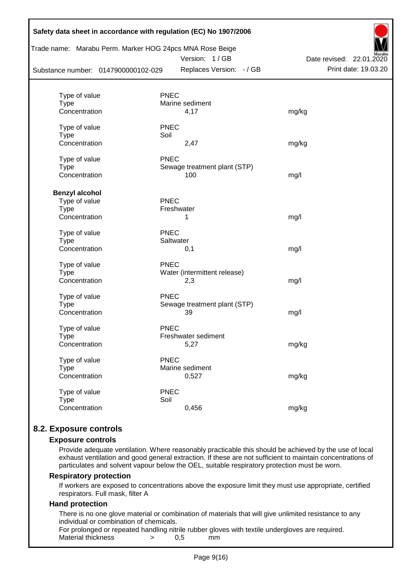| Substance number: 0147900000102-029 |             | Trade name: Marabu Perm. Marker HOG 24pcs MNA Rose Beige<br>Version: 1/GB<br>Replaces Version: - / GB | Date revised: 22.01.2020<br>Print date: 19.03.20 |
|-------------------------------------|-------------|-------------------------------------------------------------------------------------------------------|--------------------------------------------------|
|                                     |             |                                                                                                       |                                                  |
| Type of value                       | <b>PNEC</b> |                                                                                                       |                                                  |
| Type                                |             | Marine sediment                                                                                       |                                                  |
| Concentration                       |             | 4,17                                                                                                  | mg/kg                                            |
| Type of value                       | <b>PNEC</b> |                                                                                                       |                                                  |
| <b>Type</b>                         | Soil        |                                                                                                       |                                                  |
| Concentration                       |             | 2,47                                                                                                  | mg/kg                                            |
| Type of value                       | <b>PNEC</b> |                                                                                                       |                                                  |
| <b>Type</b>                         |             | Sewage treatment plant (STP)                                                                          |                                                  |
| Concentration                       |             | 100                                                                                                   | mg/l                                             |
|                                     |             |                                                                                                       |                                                  |
| <b>Benzyl alcohol</b>               |             |                                                                                                       |                                                  |
| Type of value                       | <b>PNEC</b> |                                                                                                       |                                                  |
| <b>Type</b>                         |             | Freshwater                                                                                            |                                                  |
| Concentration                       |             | 1                                                                                                     | mg/l                                             |
| Type of value                       | <b>PNEC</b> |                                                                                                       |                                                  |
| <b>Type</b>                         | Saltwater   |                                                                                                       |                                                  |
| Concentration                       |             | 0,1                                                                                                   | mg/l                                             |
| Type of value                       | <b>PNEC</b> |                                                                                                       |                                                  |
| <b>Type</b>                         |             | Water (intermittent release)                                                                          |                                                  |
| Concentration                       |             | 2,3                                                                                                   | mg/l                                             |
|                                     |             |                                                                                                       |                                                  |
| Type of value                       | <b>PNEC</b> |                                                                                                       |                                                  |
| <b>Type</b><br>Concentration        |             | Sewage treatment plant (STP)<br>39                                                                    |                                                  |
|                                     |             |                                                                                                       | mg/l                                             |
| Type of value                       | <b>PNEC</b> |                                                                                                       |                                                  |
| Type                                |             | Freshwater sediment                                                                                   |                                                  |
| Concentration                       |             | 5,27                                                                                                  | mg/kg                                            |
| Type of value                       | <b>PNEC</b> |                                                                                                       |                                                  |
| <b>Type</b>                         |             | Marine sediment                                                                                       |                                                  |
| Concentration                       |             | 0,527                                                                                                 | mg/kg                                            |
|                                     |             |                                                                                                       |                                                  |
| Type of value                       | <b>PNEC</b> |                                                                                                       |                                                  |
| <b>Type</b><br>Concentration        | Soil        | 0,456                                                                                                 | mg/kg                                            |
|                                     |             |                                                                                                       |                                                  |

# **8.2. Exposure controls**

#### **Exposure controls**

Provide adequate ventilation. Where reasonably practicable this should be achieved by the use of local exhaust ventilation and good general extraction. If these are not sufficient to maintain concentrations of particulates and solvent vapour below the OEL, suitable respiratory protection must be worn.

#### **Respiratory protection**

If workers are exposed to concentrations above the exposure limit they must use appropriate, certified respirators. Full mask, filter A

#### **Hand protection**

There is no one glove material or combination of materials that will give unlimited resistance to any individual or combination of chemicals.

For prolonged or repeated handling nitrile rubber gloves with textile undergloves are required. Material thickness  $\rightarrow$  0.5 mm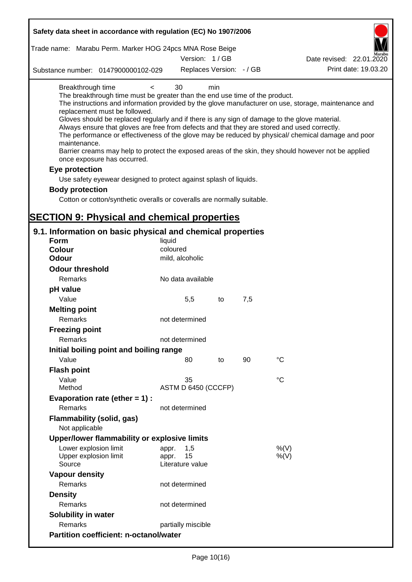| Safety data sheet in accordance with regulation (EC) No 1907/2006                                                                                                                                                                                                                                                                                                                            |                                                 |     |     |                                                                                                                                                                                                                                                                                                                    |
|----------------------------------------------------------------------------------------------------------------------------------------------------------------------------------------------------------------------------------------------------------------------------------------------------------------------------------------------------------------------------------------------|-------------------------------------------------|-----|-----|--------------------------------------------------------------------------------------------------------------------------------------------------------------------------------------------------------------------------------------------------------------------------------------------------------------------|
| Trade name: Marabu Perm. Marker HOG 24pcs MNA Rose Beige                                                                                                                                                                                                                                                                                                                                     |                                                 |     |     |                                                                                                                                                                                                                                                                                                                    |
|                                                                                                                                                                                                                                                                                                                                                                                              | Version: 1/GB                                   |     |     | Date revised: 22.01.2020                                                                                                                                                                                                                                                                                           |
| Substance number: 0147900000102-029                                                                                                                                                                                                                                                                                                                                                          | Replaces Version: - / GB                        |     |     | Print date: 19.03.20                                                                                                                                                                                                                                                                                               |
| Breakthrough time<br>$\,<\,$<br>The breakthrough time must be greater than the end use time of the product.<br>replacement must be followed.<br>Gloves should be replaced regularly and if there is any sign of damage to the glove material.<br>Always ensure that gloves are free from defects and that they are stored and used correctly.<br>maintenance.<br>once exposure has occurred. | 30                                              | min |     | The instructions and information provided by the glove manufacturer on use, storage, maintenance and<br>The performance or effectiveness of the glove may be reduced by physical/ chemical damage and poor<br>Barrier creams may help to protect the exposed areas of the skin, they should however not be applied |
| Eye protection                                                                                                                                                                                                                                                                                                                                                                               |                                                 |     |     |                                                                                                                                                                                                                                                                                                                    |
| Use safety eyewear designed to protect against splash of liquids.                                                                                                                                                                                                                                                                                                                            |                                                 |     |     |                                                                                                                                                                                                                                                                                                                    |
| <b>Body protection</b>                                                                                                                                                                                                                                                                                                                                                                       |                                                 |     |     |                                                                                                                                                                                                                                                                                                                    |
| Cotton or cotton/synthetic overalls or coveralls are normally suitable.                                                                                                                                                                                                                                                                                                                      |                                                 |     |     |                                                                                                                                                                                                                                                                                                                    |
|                                                                                                                                                                                                                                                                                                                                                                                              |                                                 |     |     |                                                                                                                                                                                                                                                                                                                    |
| <b>SECTION 9: Physical and chemical properties</b>                                                                                                                                                                                                                                                                                                                                           |                                                 |     |     |                                                                                                                                                                                                                                                                                                                    |
| 9.1. Information on basic physical and chemical properties                                                                                                                                                                                                                                                                                                                                   |                                                 |     |     |                                                                                                                                                                                                                                                                                                                    |
| <b>Form</b>                                                                                                                                                                                                                                                                                                                                                                                  | liquid                                          |     |     |                                                                                                                                                                                                                                                                                                                    |
| <b>Colour</b>                                                                                                                                                                                                                                                                                                                                                                                | coloured                                        |     |     |                                                                                                                                                                                                                                                                                                                    |
| <b>Odour</b>                                                                                                                                                                                                                                                                                                                                                                                 | mild, alcoholic                                 |     |     |                                                                                                                                                                                                                                                                                                                    |
| <b>Odour threshold</b>                                                                                                                                                                                                                                                                                                                                                                       |                                                 |     |     |                                                                                                                                                                                                                                                                                                                    |
| Remarks                                                                                                                                                                                                                                                                                                                                                                                      | No data available                               |     |     |                                                                                                                                                                                                                                                                                                                    |
| pH value                                                                                                                                                                                                                                                                                                                                                                                     |                                                 |     |     |                                                                                                                                                                                                                                                                                                                    |
| Value                                                                                                                                                                                                                                                                                                                                                                                        | 5,5                                             | to  | 7,5 |                                                                                                                                                                                                                                                                                                                    |
| <b>Melting point</b>                                                                                                                                                                                                                                                                                                                                                                         |                                                 |     |     |                                                                                                                                                                                                                                                                                                                    |
| Remarks                                                                                                                                                                                                                                                                                                                                                                                      | not determined                                  |     |     |                                                                                                                                                                                                                                                                                                                    |
| <b>Freezing point</b>                                                                                                                                                                                                                                                                                                                                                                        |                                                 |     |     |                                                                                                                                                                                                                                                                                                                    |
| Remarks                                                                                                                                                                                                                                                                                                                                                                                      | not determined                                  |     |     |                                                                                                                                                                                                                                                                                                                    |
| Initial boiling point and boiling range                                                                                                                                                                                                                                                                                                                                                      |                                                 |     |     |                                                                                                                                                                                                                                                                                                                    |
| Value                                                                                                                                                                                                                                                                                                                                                                                        | 80                                              | to  | 90  | $\rm ^{\circ}C$                                                                                                                                                                                                                                                                                                    |
| <b>Flash point</b>                                                                                                                                                                                                                                                                                                                                                                           |                                                 |     |     |                                                                                                                                                                                                                                                                                                                    |
| Value                                                                                                                                                                                                                                                                                                                                                                                        | 35                                              |     |     | $^{\circ}C$                                                                                                                                                                                                                                                                                                        |
| Method                                                                                                                                                                                                                                                                                                                                                                                       | ASTM D 6450 (CCCFP)                             |     |     |                                                                                                                                                                                                                                                                                                                    |
| Evaporation rate (ether $= 1$ ) :                                                                                                                                                                                                                                                                                                                                                            |                                                 |     |     |                                                                                                                                                                                                                                                                                                                    |
| Remarks                                                                                                                                                                                                                                                                                                                                                                                      | not determined                                  |     |     |                                                                                                                                                                                                                                                                                                                    |
| <b>Flammability (solid, gas)</b>                                                                                                                                                                                                                                                                                                                                                             |                                                 |     |     |                                                                                                                                                                                                                                                                                                                    |
| Not applicable                                                                                                                                                                                                                                                                                                                                                                               |                                                 |     |     |                                                                                                                                                                                                                                                                                                                    |
| Upper/lower flammability or explosive limits                                                                                                                                                                                                                                                                                                                                                 |                                                 |     |     |                                                                                                                                                                                                                                                                                                                    |
| Lower explosion limit<br>Upper explosion limit<br>Source                                                                                                                                                                                                                                                                                                                                     | 1,5<br>appr.<br>15<br>appr.<br>Literature value |     |     | %(V)<br>$%$ (V)                                                                                                                                                                                                                                                                                                    |
| <b>Vapour density</b>                                                                                                                                                                                                                                                                                                                                                                        |                                                 |     |     |                                                                                                                                                                                                                                                                                                                    |
| Remarks                                                                                                                                                                                                                                                                                                                                                                                      | not determined                                  |     |     |                                                                                                                                                                                                                                                                                                                    |
| <b>Density</b>                                                                                                                                                                                                                                                                                                                                                                               |                                                 |     |     |                                                                                                                                                                                                                                                                                                                    |
| Remarks                                                                                                                                                                                                                                                                                                                                                                                      | not determined                                  |     |     |                                                                                                                                                                                                                                                                                                                    |
| Solubility in water                                                                                                                                                                                                                                                                                                                                                                          |                                                 |     |     |                                                                                                                                                                                                                                                                                                                    |
| Remarks                                                                                                                                                                                                                                                                                                                                                                                      | partially miscible                              |     |     |                                                                                                                                                                                                                                                                                                                    |
| <b>Partition coefficient: n-octanol/water</b>                                                                                                                                                                                                                                                                                                                                                |                                                 |     |     |                                                                                                                                                                                                                                                                                                                    |
|                                                                                                                                                                                                                                                                                                                                                                                              |                                                 |     |     |                                                                                                                                                                                                                                                                                                                    |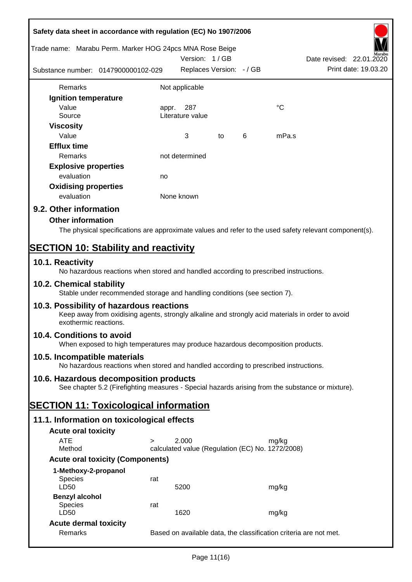|                                              | Safety data sheet in accordance with regulation (EC) No 1907/2006                                                                            |                |                                                           |    |   |             |                                                                                                        |
|----------------------------------------------|----------------------------------------------------------------------------------------------------------------------------------------------|----------------|-----------------------------------------------------------|----|---|-------------|--------------------------------------------------------------------------------------------------------|
|                                              | Trade name: Marabu Perm. Marker HOG 24pcs MNA Rose Beige                                                                                     |                | Version: 1/GB                                             |    |   |             | Date revised: 22.01.2020                                                                               |
|                                              | Substance number: 0147900000102-029                                                                                                          |                | Replaces Version: - / GB                                  |    |   |             | Print date: 19.03.20                                                                                   |
| Remarks                                      |                                                                                                                                              | Not applicable |                                                           |    |   |             |                                                                                                        |
| <b>Ignition temperature</b>                  |                                                                                                                                              |                |                                                           |    |   |             |                                                                                                        |
| Value<br>Source                              |                                                                                                                                              | appr.          | 287<br>Literature value                                   |    |   | $^{\circ}C$ |                                                                                                        |
| <b>Viscosity</b><br>Value                    |                                                                                                                                              |                | 3                                                         | to | 6 | mPa.s       |                                                                                                        |
| <b>Efflux time</b><br>Remarks                |                                                                                                                                              |                | not determined                                            |    |   |             |                                                                                                        |
|                                              |                                                                                                                                              |                |                                                           |    |   |             |                                                                                                        |
| <b>Explosive properties</b>                  |                                                                                                                                              |                |                                                           |    |   |             |                                                                                                        |
| evaluation                                   |                                                                                                                                              | no             |                                                           |    |   |             |                                                                                                        |
| <b>Oxidising properties</b><br>evaluation    |                                                                                                                                              | None known     |                                                           |    |   |             |                                                                                                        |
| 9.2. Other information                       |                                                                                                                                              |                |                                                           |    |   |             |                                                                                                        |
| <b>Other information</b>                     |                                                                                                                                              |                |                                                           |    |   |             |                                                                                                        |
|                                              |                                                                                                                                              |                |                                                           |    |   |             | The physical specifications are approximate values and refer to the used safety relevant component(s). |
|                                              |                                                                                                                                              |                |                                                           |    |   |             |                                                                                                        |
| <b>SECTION 10: Stability and reactivity</b>  |                                                                                                                                              |                |                                                           |    |   |             |                                                                                                        |
| 10.1. Reactivity                             | No hazardous reactions when stored and handled according to prescribed instructions.                                                         |                |                                                           |    |   |             |                                                                                                        |
| 10.2. Chemical stability                     | Stable under recommended storage and handling conditions (see section 7).                                                                    |                |                                                           |    |   |             |                                                                                                        |
| exothermic reactions.                        | 10.3. Possibility of hazardous reactions<br>Keep away from oxidising agents, strongly alkaline and strongly acid materials in order to avoid |                |                                                           |    |   |             |                                                                                                        |
| 10.4. Conditions to avoid                    | When exposed to high temperatures may produce hazardous decomposition products.                                                              |                |                                                           |    |   |             |                                                                                                        |
| 10.5. Incompatible materials                 | No hazardous reactions when stored and handled according to prescribed instructions.                                                         |                |                                                           |    |   |             |                                                                                                        |
|                                              | 10.6. Hazardous decomposition products                                                                                                       |                |                                                           |    |   |             |                                                                                                        |
|                                              | See chapter 5.2 (Firefighting measures - Special hazards arising from the substance or mixture).                                             |                |                                                           |    |   |             |                                                                                                        |
| <b>SECTION 11: Toxicological information</b> |                                                                                                                                              |                |                                                           |    |   |             |                                                                                                        |
|                                              | 11.1. Information on toxicological effects                                                                                                   |                |                                                           |    |   |             |                                                                                                        |
| <b>Acute oral toxicity</b>                   |                                                                                                                                              |                |                                                           |    |   |             |                                                                                                        |
| <b>ATE</b><br>Method                         | $\geq$                                                                                                                                       |                | 2.000<br>calculated value (Regulation (EC) No. 1272/2008) |    |   | mg/kg       |                                                                                                        |
|                                              | <b>Acute oral toxicity (Components)</b>                                                                                                      |                |                                                           |    |   |             |                                                                                                        |
| 1-Methoxy-2-propanol                         |                                                                                                                                              |                |                                                           |    |   |             |                                                                                                        |
| Species<br>LD50                              | rat                                                                                                                                          |                | 5200                                                      |    |   | mg/kg       |                                                                                                        |
| <b>Benzyl alcohol</b>                        |                                                                                                                                              |                |                                                           |    |   |             |                                                                                                        |
| Species<br>LD50                              | rat                                                                                                                                          |                | 1620                                                      |    |   | mg/kg       |                                                                                                        |
| <b>Acute dermal toxicity</b>                 |                                                                                                                                              |                |                                                           |    |   |             |                                                                                                        |
| Remarks                                      |                                                                                                                                              |                |                                                           |    |   |             | Based on available data, the classification criteria are not met.                                      |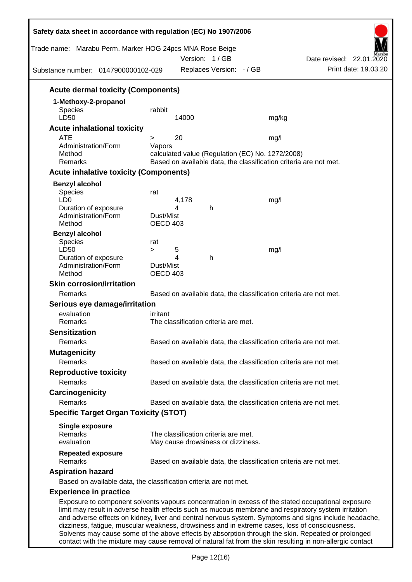| Safety data sheet in accordance with regulation (EC) No 1907/2006<br>Trade name: Marabu Perm. Marker HOG 24pcs MNA Rose Beige<br>Substance number: 0147900000102-029                                       |                       |       | Version: 1/GB<br>Replaces Version: - / GB |                                                                   | Date revised: 22.01.2020<br>Print date: 19.03.20                                                      |
|------------------------------------------------------------------------------------------------------------------------------------------------------------------------------------------------------------|-----------------------|-------|-------------------------------------------|-------------------------------------------------------------------|-------------------------------------------------------------------------------------------------------|
| <b>Acute dermal toxicity (Components)</b>                                                                                                                                                                  |                       |       |                                           |                                                                   |                                                                                                       |
|                                                                                                                                                                                                            |                       |       |                                           |                                                                   |                                                                                                       |
| 1-Methoxy-2-propanol<br><b>Species</b>                                                                                                                                                                     | rabbit                |       |                                           |                                                                   |                                                                                                       |
| LD50                                                                                                                                                                                                       |                       | 14000 |                                           | mg/kg                                                             |                                                                                                       |
| <b>Acute inhalational toxicity</b>                                                                                                                                                                         |                       |       |                                           |                                                                   |                                                                                                       |
| <b>ATE</b>                                                                                                                                                                                                 | >                     | 20    |                                           | mg/l                                                              |                                                                                                       |
| Administration/Form                                                                                                                                                                                        | Vapors                |       |                                           |                                                                   |                                                                                                       |
| Method                                                                                                                                                                                                     |                       |       |                                           | calculated value (Regulation (EC) No. 1272/2008)                  |                                                                                                       |
| Remarks                                                                                                                                                                                                    |                       |       |                                           | Based on available data, the classification criteria are not met. |                                                                                                       |
| <b>Acute inhalative toxicity (Components)</b>                                                                                                                                                              |                       |       |                                           |                                                                   |                                                                                                       |
| <b>Benzyl alcohol</b>                                                                                                                                                                                      |                       |       |                                           |                                                                   |                                                                                                       |
| Species                                                                                                                                                                                                    | rat                   |       |                                           |                                                                   |                                                                                                       |
| LD <sub>0</sub>                                                                                                                                                                                            |                       | 4,178 |                                           | mg/l                                                              |                                                                                                       |
| Duration of exposure                                                                                                                                                                                       |                       | 4     | h                                         |                                                                   |                                                                                                       |
| Administration/Form<br>Method                                                                                                                                                                              | Dust/Mist<br>OECD 403 |       |                                           |                                                                   |                                                                                                       |
|                                                                                                                                                                                                            |                       |       |                                           |                                                                   |                                                                                                       |
| <b>Benzyl alcohol</b><br>Species                                                                                                                                                                           | rat                   |       |                                           |                                                                   |                                                                                                       |
| LD50                                                                                                                                                                                                       | $\geq$                | 5     |                                           | mg/l                                                              |                                                                                                       |
| Duration of exposure                                                                                                                                                                                       |                       | 4     | h                                         |                                                                   |                                                                                                       |
| Administration/Form                                                                                                                                                                                        | Dust/Mist             |       |                                           |                                                                   |                                                                                                       |
| Method                                                                                                                                                                                                     | OECD 403              |       |                                           |                                                                   |                                                                                                       |
| <b>Skin corrosion/irritation</b>                                                                                                                                                                           |                       |       |                                           |                                                                   |                                                                                                       |
| Remarks                                                                                                                                                                                                    |                       |       |                                           | Based on available data, the classification criteria are not met. |                                                                                                       |
| Serious eye damage/irritation                                                                                                                                                                              |                       |       |                                           |                                                                   |                                                                                                       |
| evaluation                                                                                                                                                                                                 | irritant              |       |                                           |                                                                   |                                                                                                       |
| Remarks                                                                                                                                                                                                    |                       |       | The classification criteria are met.      |                                                                   |                                                                                                       |
| <b>Sensitization</b>                                                                                                                                                                                       |                       |       |                                           |                                                                   |                                                                                                       |
| Remarks                                                                                                                                                                                                    |                       |       |                                           | Based on available data, the classification criteria are not met. |                                                                                                       |
| <b>Mutagenicity</b>                                                                                                                                                                                        |                       |       |                                           |                                                                   |                                                                                                       |
| Remarks                                                                                                                                                                                                    |                       |       |                                           | Based on available data, the classification criteria are not met. |                                                                                                       |
| <b>Reproductive toxicity</b>                                                                                                                                                                               |                       |       |                                           |                                                                   |                                                                                                       |
| Remarks                                                                                                                                                                                                    |                       |       |                                           | Based on available data, the classification criteria are not met. |                                                                                                       |
| Carcinogenicity                                                                                                                                                                                            |                       |       |                                           |                                                                   |                                                                                                       |
| <b>Remarks</b>                                                                                                                                                                                             |                       |       |                                           | Based on available data, the classification criteria are not met. |                                                                                                       |
| <b>Specific Target Organ Toxicity (STOT)</b>                                                                                                                                                               |                       |       |                                           |                                                                   |                                                                                                       |
|                                                                                                                                                                                                            |                       |       |                                           |                                                                   |                                                                                                       |
| <b>Single exposure</b><br>Remarks                                                                                                                                                                          |                       |       | The classification criteria are met.      |                                                                   |                                                                                                       |
| evaluation                                                                                                                                                                                                 |                       |       | May cause drowsiness or dizziness.        |                                                                   |                                                                                                       |
|                                                                                                                                                                                                            |                       |       |                                           |                                                                   |                                                                                                       |
| <b>Repeated exposure</b><br>Remarks                                                                                                                                                                        |                       |       |                                           | Based on available data, the classification criteria are not met. |                                                                                                       |
| <b>Aspiration hazard</b>                                                                                                                                                                                   |                       |       |                                           |                                                                   |                                                                                                       |
| Based on available data, the classification criteria are not met.                                                                                                                                          |                       |       |                                           |                                                                   |                                                                                                       |
|                                                                                                                                                                                                            |                       |       |                                           |                                                                   |                                                                                                       |
| <b>Experience in practice</b>                                                                                                                                                                              |                       |       |                                           |                                                                   |                                                                                                       |
| Exposure to component solvents vapours concentration in excess of the stated occupational exposure<br>limit may result in adverse health effects such as mucous membrane and respiratory system irritation |                       |       |                                           |                                                                   | and adverse effects on kidney, liver and central nervous system. Symptoms and signs include headache, |

dizziness, fatigue, muscular weakness, drowsiness and in extreme cases, loss of consciousness. Solvents may cause some of the above effects by absorption through the skin. Repeated or prolonged contact with the mixture may cause removal of natural fat from the skin resulting in non-allergic contact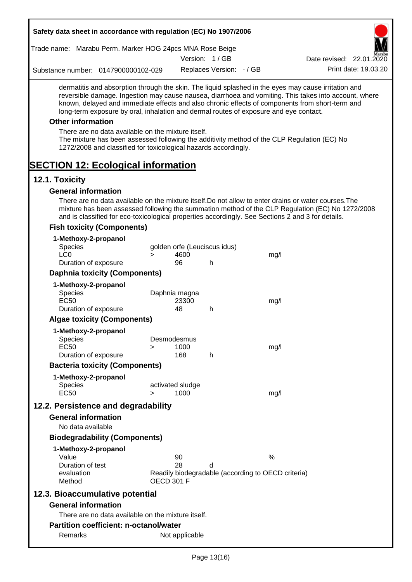| Safety data sheet in accordance with regulation (EC) No 1907/2006                                                                                                                                                                                                                                                                                                                                                                                                                                                                                    |                   |                          |                              |                                                    |                                                                                                       |
|------------------------------------------------------------------------------------------------------------------------------------------------------------------------------------------------------------------------------------------------------------------------------------------------------------------------------------------------------------------------------------------------------------------------------------------------------------------------------------------------------------------------------------------------------|-------------------|--------------------------|------------------------------|----------------------------------------------------|-------------------------------------------------------------------------------------------------------|
| Trade name: Marabu Perm. Marker HOG 24pcs MNA Rose Beige                                                                                                                                                                                                                                                                                                                                                                                                                                                                                             |                   |                          |                              |                                                    |                                                                                                       |
|                                                                                                                                                                                                                                                                                                                                                                                                                                                                                                                                                      |                   |                          | Version: 1/GB                |                                                    | Date revised: 22.01.2020                                                                              |
| Substance number: 0147900000102-029                                                                                                                                                                                                                                                                                                                                                                                                                                                                                                                  |                   |                          | Replaces Version: - / GB     |                                                    | Print date: 19.03.20                                                                                  |
| dermatitis and absorption through the skin. The liquid splashed in the eyes may cause irritation and<br>known, delayed and immediate effects and also chronic effects of components from short-term and<br>long-term exposure by oral, inhalation and dermal routes of exposure and eye contact.<br><b>Other information</b><br>There are no data available on the mixture itself.<br>The mixture has been assessed following the additivity method of the CLP Regulation (EC) No<br>1272/2008 and classified for toxicological hazards accordingly. |                   |                          |                              |                                                    | reversible damage. Ingestion may cause nausea, diarrhoea and vomiting. This takes into account, where |
| <b>SECTION 12: Ecological information</b>                                                                                                                                                                                                                                                                                                                                                                                                                                                                                                            |                   |                          |                              |                                                    |                                                                                                       |
| 12.1. Toxicity                                                                                                                                                                                                                                                                                                                                                                                                                                                                                                                                       |                   |                          |                              |                                                    |                                                                                                       |
| <b>General information</b>                                                                                                                                                                                                                                                                                                                                                                                                                                                                                                                           |                   |                          |                              |                                                    |                                                                                                       |
| There are no data available on the mixture itself. Do not allow to enter drains or water courses. The<br>and is classified for eco-toxicological properties accordingly. See Sections 2 and 3 for details.<br><b>Fish toxicity (Components)</b>                                                                                                                                                                                                                                                                                                      |                   |                          |                              |                                                    | mixture has been assessed following the summation method of the CLP Regulation (EC) No 1272/2008      |
|                                                                                                                                                                                                                                                                                                                                                                                                                                                                                                                                                      |                   |                          |                              |                                                    |                                                                                                       |
| 1-Methoxy-2-propanol<br>Species                                                                                                                                                                                                                                                                                                                                                                                                                                                                                                                      |                   |                          | golden orfe (Leuciscus idus) |                                                    |                                                                                                       |
| LC <sub>0</sub>                                                                                                                                                                                                                                                                                                                                                                                                                                                                                                                                      | $\geq$            | 4600                     |                              | mg/l                                               |                                                                                                       |
| Duration of exposure                                                                                                                                                                                                                                                                                                                                                                                                                                                                                                                                 |                   | 96                       | h                            |                                                    |                                                                                                       |
| <b>Daphnia toxicity (Components)</b>                                                                                                                                                                                                                                                                                                                                                                                                                                                                                                                 |                   |                          |                              |                                                    |                                                                                                       |
| 1-Methoxy-2-propanol                                                                                                                                                                                                                                                                                                                                                                                                                                                                                                                                 |                   |                          |                              |                                                    |                                                                                                       |
| Species                                                                                                                                                                                                                                                                                                                                                                                                                                                                                                                                              |                   | Daphnia magna            |                              |                                                    |                                                                                                       |
| <b>EC50</b>                                                                                                                                                                                                                                                                                                                                                                                                                                                                                                                                          |                   | 23300                    |                              | mg/l                                               |                                                                                                       |
| Duration of exposure                                                                                                                                                                                                                                                                                                                                                                                                                                                                                                                                 |                   | 48                       | h                            |                                                    |                                                                                                       |
| <b>Algae toxicity (Components)</b>                                                                                                                                                                                                                                                                                                                                                                                                                                                                                                                   |                   |                          |                              |                                                    |                                                                                                       |
| 1-Methoxy-2-propanol                                                                                                                                                                                                                                                                                                                                                                                                                                                                                                                                 |                   |                          |                              |                                                    |                                                                                                       |
| Species                                                                                                                                                                                                                                                                                                                                                                                                                                                                                                                                              |                   | Desmodesmus              |                              |                                                    |                                                                                                       |
| <b>EC50</b><br>Duration of exposure                                                                                                                                                                                                                                                                                                                                                                                                                                                                                                                  | >                 | 1000<br>168              | h                            | mg/l                                               |                                                                                                       |
| <b>Bacteria toxicity (Components)</b>                                                                                                                                                                                                                                                                                                                                                                                                                                                                                                                |                   |                          |                              |                                                    |                                                                                                       |
|                                                                                                                                                                                                                                                                                                                                                                                                                                                                                                                                                      |                   |                          |                              |                                                    |                                                                                                       |
| 1-Methoxy-2-propanol                                                                                                                                                                                                                                                                                                                                                                                                                                                                                                                                 |                   |                          |                              |                                                    |                                                                                                       |
| <b>Species</b><br><b>EC50</b>                                                                                                                                                                                                                                                                                                                                                                                                                                                                                                                        | $\geq$            | activated sludge<br>1000 |                              | mg/l                                               |                                                                                                       |
|                                                                                                                                                                                                                                                                                                                                                                                                                                                                                                                                                      |                   |                          |                              |                                                    |                                                                                                       |
| 12.2. Persistence and degradability                                                                                                                                                                                                                                                                                                                                                                                                                                                                                                                  |                   |                          |                              |                                                    |                                                                                                       |
| <b>General information</b>                                                                                                                                                                                                                                                                                                                                                                                                                                                                                                                           |                   |                          |                              |                                                    |                                                                                                       |
| No data available                                                                                                                                                                                                                                                                                                                                                                                                                                                                                                                                    |                   |                          |                              |                                                    |                                                                                                       |
| <b>Biodegradability (Components)</b>                                                                                                                                                                                                                                                                                                                                                                                                                                                                                                                 |                   |                          |                              |                                                    |                                                                                                       |
| 1-Methoxy-2-propanol                                                                                                                                                                                                                                                                                                                                                                                                                                                                                                                                 |                   |                          |                              |                                                    |                                                                                                       |
| Value                                                                                                                                                                                                                                                                                                                                                                                                                                                                                                                                                |                   | 90                       |                              | %                                                  |                                                                                                       |
| Duration of test<br>evaluation                                                                                                                                                                                                                                                                                                                                                                                                                                                                                                                       |                   | 28                       | d                            | Readily biodegradable (according to OECD criteria) |                                                                                                       |
| Method                                                                                                                                                                                                                                                                                                                                                                                                                                                                                                                                               | <b>OECD 301 F</b> |                          |                              |                                                    |                                                                                                       |
| 12.3. Bioaccumulative potential                                                                                                                                                                                                                                                                                                                                                                                                                                                                                                                      |                   |                          |                              |                                                    |                                                                                                       |
| <b>General information</b>                                                                                                                                                                                                                                                                                                                                                                                                                                                                                                                           |                   |                          |                              |                                                    |                                                                                                       |
|                                                                                                                                                                                                                                                                                                                                                                                                                                                                                                                                                      |                   |                          |                              |                                                    |                                                                                                       |
| There are no data available on the mixture itself.                                                                                                                                                                                                                                                                                                                                                                                                                                                                                                   |                   |                          |                              |                                                    |                                                                                                       |
| <b>Partition coefficient: n-octanol/water</b>                                                                                                                                                                                                                                                                                                                                                                                                                                                                                                        |                   |                          |                              |                                                    |                                                                                                       |
| Remarks                                                                                                                                                                                                                                                                                                                                                                                                                                                                                                                                              |                   | Not applicable           |                              |                                                    |                                                                                                       |

 $\overline{\phantom{a}}$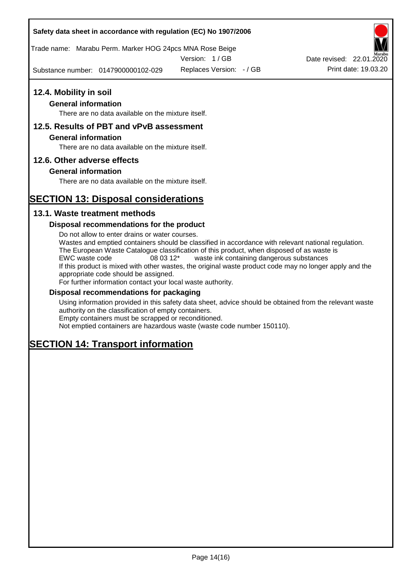## **Safety data sheet in accordance with regulation (EC) No 1907/2006**

Trade name: Marabu Perm. Marker HOG 24pcs MNA Rose Beige

Version: 1 / GB

Substance number: 0147900000102-029

# **12.4. Mobility in soil**

## **General information**

There are no data available on the mixture itself.

## **12.5. Results of PBT and vPvB assessment**

### **General information**

There are no data available on the mixture itself.

### **12.6. Other adverse effects**

### **General information**

There are no data available on the mixture itself.

# **SECTION 13: Disposal considerations**

## **13.1. Waste treatment methods**

### **Disposal recommendations for the product**

Do not allow to enter drains or water courses. Wastes and emptied containers should be classified in accordance with relevant national regulation. The European Waste Catalogue classification of this product, when disposed of as waste is EWC waste code 08 03 12\* waste ink containing dangerous substances If this product is mixed with other wastes, the original waste product code may no longer apply and the appropriate code should be assigned. For further information contact your local waste authority.

#### **Disposal recommendations for packaging**

Using information provided in this safety data sheet, advice should be obtained from the relevant waste authority on the classification of empty containers. Empty containers must be scrapped or reconditioned.

Not emptied containers are hazardous waste (waste code number 150110).

# **SECTION 14: Transport information**



Replaces Version:  $-$  / GB Print date: 19.03.20 Date revised: 22.01.2020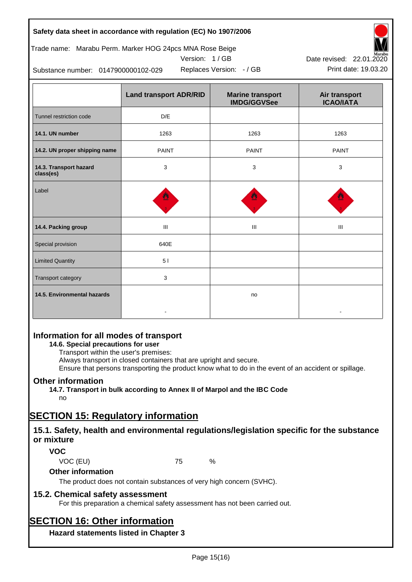## **Safety data sheet in accordance with regulation (EC) No 1907/2006**

# Trade name: Marabu Perm. Marker HOG 24pcs MNA Rose Beige





Replaces Version:  $-$  / GB Print date: 19.03.20 Date revised: 22.01.2020

Substance number: 0147900000102-029

|                                     | <b>Land transport ADR/RID</b> | <b>Marine transport</b><br><b>IMDG/GGVSee</b> | Air transport<br><b>ICAO/IATA</b> |
|-------------------------------------|-------------------------------|-----------------------------------------------|-----------------------------------|
| Tunnel restriction code             | D/E                           |                                               |                                   |
| 14.1. UN number                     | 1263                          | 1263                                          | 1263                              |
| 14.2. UN proper shipping name       | <b>PAINT</b>                  | <b>PAINT</b>                                  | <b>PAINT</b>                      |
| 14.3. Transport hazard<br>class(es) | 3                             | 3                                             | 3                                 |
| Label                               |                               |                                               |                                   |
| 14.4. Packing group                 | Ш                             | Ш                                             | Ш                                 |
| Special provision                   | 640E                          |                                               |                                   |
| <b>Limited Quantity</b>             | 51                            |                                               |                                   |
| Transport category                  | 3                             |                                               |                                   |
| 14.5. Environmental hazards         |                               | no                                            |                                   |

# **Information for all modes of transport**

# **14.6. Special precautions for user**

Transport within the user's premises:

Always transport in closed containers that are upright and secure.

Ensure that persons transporting the product know what to do in the event of an accident or spillage.

# **Other information**

**14.7. Transport in bulk according to Annex II of Marpol and the IBC Code**

# no

# **SECTION 15: Regulatory information**

# **15.1. Safety, health and environmental regulations/legislation specific for the substance or mixture**

# **VOC**

VOC (EU) 75 %

# **Other information**

The product does not contain substances of very high concern (SVHC).

# **15.2. Chemical safety assessment**

For this preparation a chemical safety assessment has not been carried out.

# **SECTION 16: Other information**

**Hazard statements listed in Chapter 3**